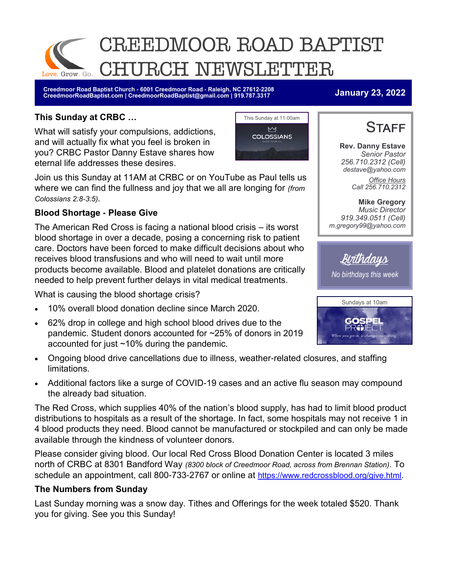

**Creedmoor Road Baptist Church - 6001 Creedmoor Road - Raleigh, NC 27612-2208 CreedmoorRoadBaptist.com | CreedmoorRoadBaptist@gmail.com | 919.787.3317 January 23, 2022**

#### **This Sunday at CRBC …**

What will satisfy your compulsions, addictions, and will actually fix what you feel is broken in you? CRBC Pastor Danny Estave shares how eternal life addresses these desires.



Join us this Sunday at 11AM at CRBC or on YouTube as Paul tells us where we can find the fullness and joy that we all are longing for *(from Colossians 2:8-3:5).*

### **Blood Shortage - Please Give**

The American Red Cross is facing a national blood crisis – its worst blood shortage in over a decade, posing a concerning risk to patient care. Doctors have been forced to make difficult decisions about who receives blood transfusions and who will need to wait until more products become available. Blood and platelet donations are critically needed to help prevent further delays in vital medical treatments.

What is causing the blood shortage crisis?

- 10% overall blood donation decline since March 2020.
- 62% drop in college and high school blood drives due to the pandemic. Student donors accounted for ~25% of donors in 2019 accounted for just ~10% during the pandemic.
- Ongoing blood drive cancellations due to illness, weather-related closures, and staffing limitations.
- Additional factors like a surge of COVID-19 cases and an active flu season may compound the already bad situation.

The Red Cross, which supplies 40% of the nation's blood supply, has had to limit blood product distributions to hospitals as a result of the shortage. In fact, some hospitals may not receive 1 in 4 blood products they need. Blood cannot be manufactured or stockpiled and can only be made available through the kindness of volunteer donors.

Please consider giving blood. Our local Red Cross Blood Donation Center is located 3 miles north of CRBC at 8301 Bandford Way *(8300 block of Creedmoor Road, across from Brennan Station).* To schedule an appointment, call 800-733-2767 or online at <https://www.redcrossblood.org/give.html>.

#### **The Numbers from Sunday**

Last Sunday morning was a snow day. Tithes and Offerings for the week totaled \$520. Thank you for giving. See you this Sunday!



**Rev. Danny Estave** *Senior Pastor 256.710.2312 (Cell) destave@yahoo.com Office Hours Call 256.710.2312* 

**Mike Gregory** *Music Director 919.349.0511 (Cell) m.gregory99@yahoo.com* 

Birthdays

*No birthdays this week*